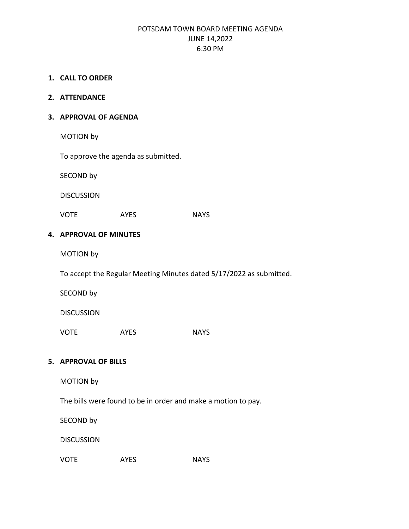## POTSDAM TOWN BOARD MEETING AGENDA JUNE 14,2022 6:30 PM

### **1. CALL TO ORDER**

#### **2. ATTENDANCE**

#### **3. APPROVAL OF AGENDA**

MOTION by

To approve the agenda as submitted.

SECOND by

DISCUSSION

VOTE AYES NAYS

### **4. APPROVAL OF MINUTES**

MOTION by

To accept the Regular Meeting Minutes dated 5/17/2022 as submitted.

SECOND by

DISCUSSION

VOTE AYES NAYS

## **5. APPROVAL OF BILLS**

MOTION by

The bills were found to be in order and make a motion to pay.

SECOND by

DISCUSSION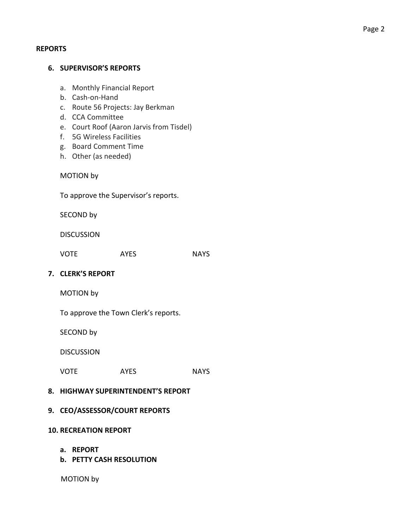## **REPORTS**

| <b>6. SUPERVISOR'S REPORTS</b>                                                                                                                                                                                                       |  |             |  |             |  |  |  |  |
|--------------------------------------------------------------------------------------------------------------------------------------------------------------------------------------------------------------------------------------|--|-------------|--|-------------|--|--|--|--|
| a. Monthly Financial Report<br>Cash-on-Hand<br>b.<br>c. Route 56 Projects: Jay Berkman<br>d. CCA Committee<br>e. Court Roof (Aaron Jarvis from Tisdel)<br>f. 5G Wireless Facilities<br>g. Board Comment Time<br>h. Other (as needed) |  |             |  |             |  |  |  |  |
| <b>MOTION by</b>                                                                                                                                                                                                                     |  |             |  |             |  |  |  |  |
| To approve the Supervisor's reports.                                                                                                                                                                                                 |  |             |  |             |  |  |  |  |
| SECOND by                                                                                                                                                                                                                            |  |             |  |             |  |  |  |  |
| <b>DISCUSSION</b>                                                                                                                                                                                                                    |  |             |  |             |  |  |  |  |
| <b>VOTE</b>                                                                                                                                                                                                                          |  | <b>AYES</b> |  | <b>NAYS</b> |  |  |  |  |
| 7. CLERK'S REPORT                                                                                                                                                                                                                    |  |             |  |             |  |  |  |  |
| <b>MOTION by</b>                                                                                                                                                                                                                     |  |             |  |             |  |  |  |  |
| To approve the Town Clerk's reports.                                                                                                                                                                                                 |  |             |  |             |  |  |  |  |
| SECOND by                                                                                                                                                                                                                            |  |             |  |             |  |  |  |  |
| <b>DISCUSSION</b>                                                                                                                                                                                                                    |  |             |  |             |  |  |  |  |
| <b>VOTE</b>                                                                                                                                                                                                                          |  | <b>AYES</b> |  | <b>NAYS</b> |  |  |  |  |
| 8. HIGHWAY SUPERINTENDENT'S REPORT                                                                                                                                                                                                   |  |             |  |             |  |  |  |  |
| 9. CEO/ASSESSOR/COURT REPORTS                                                                                                                                                                                                        |  |             |  |             |  |  |  |  |
| <b>10. RECREATION REPORT</b>                                                                                                                                                                                                         |  |             |  |             |  |  |  |  |
| <b>REPORT</b><br>а.<br><b>b. PETTY CASH RESOLUTION</b>                                                                                                                                                                               |  |             |  |             |  |  |  |  |

MOTION by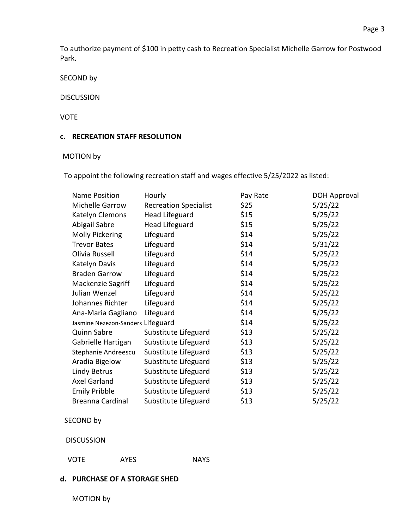To authorize payment of \$100 in petty cash to Recreation Specialist Michelle Garrow for Postwood Park.

SECOND by

### DISCUSSION

### VOTE

## **c. RECREATION STAFF RESOLUTION**

## MOTION by

To appoint the following recreation staff and wages effective 5/25/2022 as listed:

| Name Position                     | Hourly                       | Pay Rate | <b>DOH Approval</b> |
|-----------------------------------|------------------------------|----------|---------------------|
| Michelle Garrow                   | <b>Recreation Specialist</b> | \$25     | 5/25/22             |
| Katelyn Clemons                   | <b>Head Lifeguard</b>        | \$15     | 5/25/22             |
| Abigail Sabre                     | <b>Head Lifeguard</b>        | \$15     | 5/25/22             |
| Molly Pickering                   | Lifeguard                    | \$14     | 5/25/22             |
| <b>Trevor Bates</b>               | Lifeguard                    | \$14     | 5/31/22             |
| Olivia Russell                    | Lifeguard                    | \$14     | 5/25/22             |
| Katelyn Davis                     | Lifeguard                    | \$14     | 5/25/22             |
| <b>Braden Garrow</b>              | Lifeguard                    | \$14     | 5/25/22             |
| Mackenzie Sagriff                 | Lifeguard                    | \$14     | 5/25/22             |
| Julian Wenzel                     | Lifeguard                    | \$14     | 5/25/22             |
| Johannes Richter                  | Lifeguard                    | \$14     | 5/25/22             |
| Ana-Maria Gagliano                | Lifeguard                    | \$14     | 5/25/22             |
| Jasmine Nezezon-Sanders Lifeguard |                              | \$14     | 5/25/22             |
| <b>Quinn Sabre</b>                | Substitute Lifeguard         | \$13     | 5/25/22             |
| Gabrielle Hartigan                | Substitute Lifeguard         | \$13     | 5/25/22             |
| Stephanie Andreescu               | Substitute Lifeguard         | \$13     | 5/25/22             |
| Aradia Bigelow                    | Substitute Lifeguard         | \$13     | 5/25/22             |
| Lindy Betrus                      | Substitute Lifeguard         | \$13     | 5/25/22             |
| Axel Garland                      | Substitute Lifeguard         | \$13     | 5/25/22             |
| <b>Emily Pribble</b>              | Substitute Lifeguard         | \$13     | 5/25/22             |
| Breanna Cardinal                  | Substitute Lifeguard         | \$13     | 5/25/22             |

SECOND by

DISCUSSION

VOTE AYES NAYS

## **d. PURCHASE OF A STORAGE SHED**

MOTION by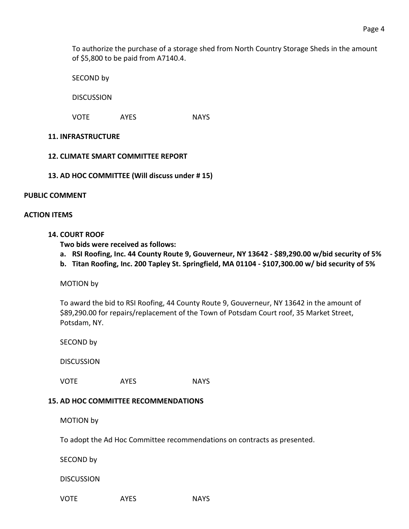To authorize the purchase of a storage shed from North Country Storage Sheds in the amount of \$5,800 to be paid from A7140.4.

SECOND by

DISCUSSION

VOTE AYES NAYS

### **11. INFRASTRUCTURE**

### **12. CLIMATE SMART COMMITTEE REPORT**

**13. AD HOC COMMITTEE (Will discuss under # 15)**

#### **PUBLIC COMMENT**

### **ACTION ITEMS**

### **14. COURT ROOF**

**Two bids were received as follows:**

- **a. RSI Roofing, Inc. 44 County Route 9, Gouverneur, NY 13642 - \$89,290.00 w/bid security of 5%**
- **b. Titan Roofing, Inc. 200 Tapley St. Springfield, MA 01104 - \$107,300.00 w/ bid security of 5%**

MOTION by

To award the bid to RSI Roofing, 44 County Route 9, Gouverneur, NY 13642 in the amount of \$89,290.00 for repairs/replacement of the Town of Potsdam Court roof, 35 Market Street, Potsdam, NY.

SECOND by

**DISCUSSION** 

VOTE AYES NAYS

## **15. AD HOC COMMITTEE RECOMMENDATIONS**

MOTION by

To adopt the Ad Hoc Committee recommendations on contracts as presented.

SECOND by

**DISCUSSION**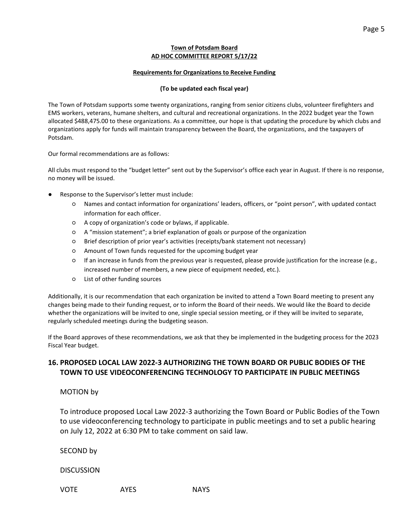#### **Town of Potsdam Board AD HOC COMMITTEE REPORT 5/17/22**

#### **Requirements for Organizations to Receive Funding**

#### **(To be updated each fiscal year)**

The Town of Potsdam supports some twenty organizations, ranging from senior citizens clubs, volunteer firefighters and EMS workers, veterans, humane shelters, and cultural and recreational organizations. In the 2022 budget year the Town allocated \$488,475.00 to these organizations. As a committee, our hope is that updating the procedure by which clubs and organizations apply for funds will maintain transparency between the Board, the organizations, and the taxpayers of Potsdam.

Our formal recommendations are as follows:

All clubs must respond to the "budget letter" sent out by the Supervisor's office each year in August. If there is no response, no money will be issued.

- Response to the Supervisor's letter must include:
	- Names and contact information for organizations' leaders, officers, or "point person", with updated contact information for each officer.
	- A copy of organization's code or bylaws, if applicable.
	- A "mission statement"; a brief explanation of goals or purpose of the organization
	- Brief description of prior year's activities (receipts/bank statement not necessary)
	- Amount of Town funds requested for the upcoming budget year
	- If an increase in funds from the previous year is requested, please provide justification for the increase (e.g., increased number of members, a new piece of equipment needed, etc.).
	- List of other funding sources

Additionally, it is our recommendation that each organization be invited to attend a Town Board meeting to present any changes being made to their funding request, or to inform the Board of their needs. We would like the Board to decide whether the organizations will be invited to one, single special session meeting, or if they will be invited to separate, regularly scheduled meetings during the budgeting season.

If the Board approves of these recommendations, we ask that they be implemented in the budgeting process for the 2023 Fiscal Year budget.

## **16. PROPOSED LOCAL LAW 2022-3 AUTHORIZING THE TOWN BOARD OR PUBLIC BODIES OF THE TOWN TO USE VIDEOCONFERENCING TECHNOLOGY TO PARTICIPATE IN PUBLIC MEETINGS**

MOTION by

To introduce proposed Local Law 2022-3 authorizing the Town Board or Public Bodies of the Town to use videoconferencing technology to participate in public meetings and to set a public hearing on July 12, 2022 at 6:30 PM to take comment on said law.

SECOND by

**DISCUSSION**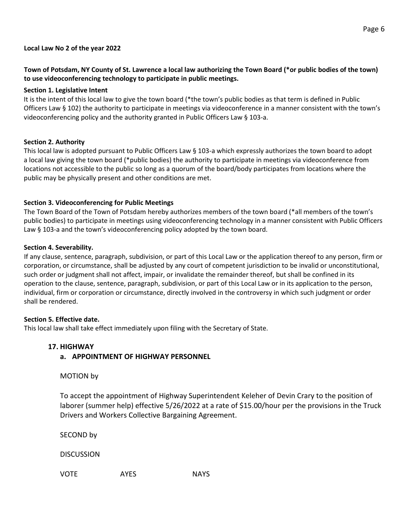## **Town of Potsdam, NY County of St. Lawrence a local law authorizing the Town Board (\*or public bodies of the town) to use videoconferencing technology to participate in public meetings.**

### **Section 1. Legislative Intent**

It is the intent of this local law to give the town board (\*the town's public bodies as that term is defined in Public Officers Law § 102) the authority to participate in meetings via videoconference in a manner consistent with the town's videoconferencing policy and the authority granted in Public Officers Law § 103-a.

### **Section 2. Authority**

This local law is adopted pursuant to Public Officers Law § 103-a which expressly authorizes the town board to adopt a local law giving the town board (\*public bodies) the authority to participate in meetings via videoconference from locations not accessible to the public so long as a quorum of the board/body participates from locations where the public may be physically present and other conditions are met.

### **Section 3. Videoconferencing for Public Meetings**

The Town Board of the Town of Potsdam hereby authorizes members of the town board (\*all members of the town's public bodies) to participate in meetings using videoconferencing technology in a manner consistent with Public Officers Law § 103-a and the town's videoconferencing policy adopted by the town board.

#### **Section 4. Severability.**

If any clause, sentence, paragraph, subdivision, or part of this Local Law or the application thereof to any person, firm or corporation, or circumstance, shall be adjusted by any court of competent jurisdiction to be invalid or unconstitutional, such order or judgment shall not affect, impair, or invalidate the remainder thereof, but shall be confined in its operation to the clause, sentence, paragraph, subdivision, or part of this Local Law or in its application to the person, individual, firm or corporation or circumstance, directly involved in the controversy in which such judgment or order shall be rendered.

## **Section 5. Effective date.**

This local law shall take effect immediately upon filing with the Secretary of State.

## **17. HIGHWAY**

## **a. APPOINTMENT OF HIGHWAY PERSONNEL**

MOTION by

To accept the appointment of Highway Superintendent Keleher of Devin Crary to the position of laborer (summer help) effective 5/26/2022 at a rate of \$15.00/hour per the provisions in the Truck Drivers and Workers Collective Bargaining Agreement.

SECOND by

DISCUSSION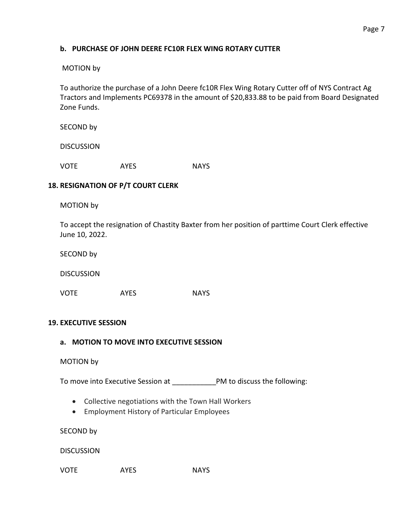## **b. PURCHASE OF JOHN DEERE FC10R FLEX WING ROTARY CUTTER**

## MOTION by

To authorize the purchase of a John Deere fc10R Flex Wing Rotary Cutter off of NYS Contract Ag Tractors and Implements PC69378 in the amount of \$20,833.88 to be paid from Board Designated Zone Funds.

SECOND by

DISCUSSION

VOTE AYES NAYS

## **18. RESIGNATION OF P/T COURT CLERK**

MOTION by

To accept the resignation of Chastity Baxter from her position of parttime Court Clerk effective June 10, 2022.

SECOND by

DISCUSSION

VOTE AYES NAYS

## **19. EXECUTIVE SESSION**

## **a. MOTION TO MOVE INTO EXECUTIVE SESSION**

#### MOTION by

To move into Executive Session at \_\_\_\_\_\_\_\_\_\_\_PM to discuss the following:

- Collective negotiations with the Town Hall Workers
- Employment History of Particular Employees

SECOND by

**DISCUSSION**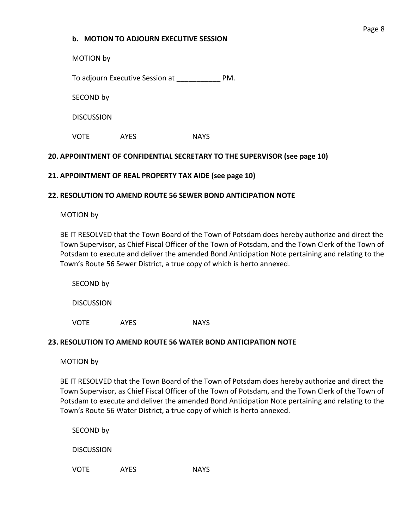## **b. MOTION TO ADJOURN EXECUTIVE SESSION**

MOTION by

To adjourn Executive Session at \_\_\_\_\_\_\_\_\_\_\_ PM.

SECOND by

**DISCUSSION** 

VOTE AYES NAYS

# **20. APPOINTMENT OF CONFIDENTIAL SECRETARY TO THE SUPERVISOR (see page 10)**

# **21. APPOINTMENT OF REAL PROPERTY TAX AIDE (see page 10)**

## **22. RESOLUTION TO AMEND ROUTE 56 SEWER BOND ANTICIPATION NOTE**

MOTION by

BE IT RESOLVED that the Town Board of the Town of Potsdam does hereby authorize and direct the Town Supervisor, as Chief Fiscal Officer of the Town of Potsdam, and the Town Clerk of the Town of Potsdam to execute and deliver the amended Bond Anticipation Note pertaining and relating to the Town's Route 56 Sewer District, a true copy of which is herto annexed.

SECOND by

**DISCUSSION** 

VOTE AYES NAYS

## **23. RESOLUTION TO AMEND ROUTE 56 WATER BOND ANTICIPATION NOTE**

MOTION by

BE IT RESOLVED that the Town Board of the Town of Potsdam does hereby authorize and direct the Town Supervisor, as Chief Fiscal Officer of the Town of Potsdam, and the Town Clerk of the Town of Potsdam to execute and deliver the amended Bond Anticipation Note pertaining and relating to the Town's Route 56 Water District, a true copy of which is herto annexed.

SECOND by

**DISCUSSION**